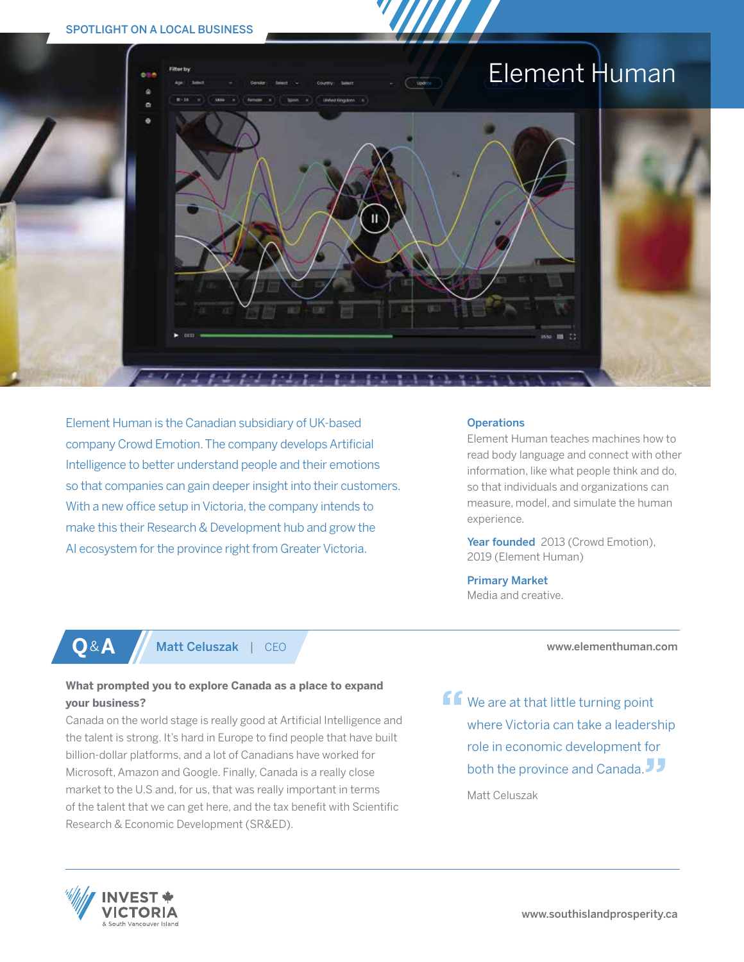# SPOTLIGHT ON A LOCAL BUSINESS



Element Human is the Canadian subsidiary of UK-based company Crowd Emotion. The company develops Artificial Intelligence to better understand people and their emotions so that companies can gain deeper insight into their customers. With a new office setup in Victoria, the company intends to make this their Research & Development hub and grow the AI ecosystem for the province right from Greater Victoria.

**What prompted you to explore Canada as a place to expand** 

Research & Economic Development (SR&ED).

**Q**&**A** Matt Celuszak | CEO

Canada on the world stage is really good at Artificial Intelligence and the talent is strong. It's hard in Europe to find people that have built billion-dollar platforms, and a lot of Canadians have worked for Microsoft, Amazon and Google. Finally, Canada is a really close market to the U.S and, for us, that was really important in terms of the talent that we can get here, and the tax benefit with Scientific

### **Operations**

Element Human teaches machines how to read body language and connect with other information, like what people think and do, so that individuals and organizations can measure, model, and simulate the human experience.

Year founded 2013 (Crowd Emotion), 2019 (Element Human)

Primary Market Media and creative.

www.elementhuman.com

**ff** We are at that little turning point where Victoria can take a leadership role in economic development for both the province and Canada.

Matt Celuszak



**your business?**